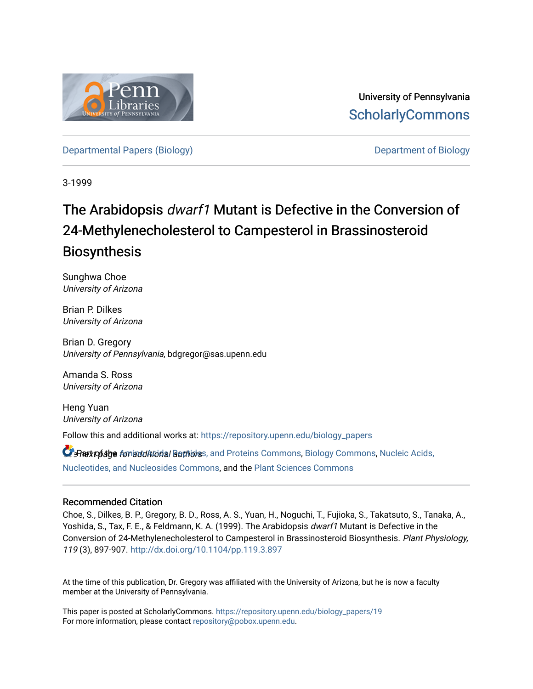

University of Pennsylvania **ScholarlyCommons** 

[Departmental Papers \(Biology\)](https://repository.upenn.edu/biology_papers) [Department of Biology](https://repository.upenn.edu/biology) 

3-1999

# The Arabidopsis dwarf1 Mutant is Defective in the Conversion of 24-Methylenecholesterol to Campesterol in Brassinosteroid Biosynthesis

Sunghwa Choe University of Arizona

Brian P. Dilkes University of Arizona

Brian D. Gregory University of Pennsylvania, bdgregor@sas.upenn.edu

Amanda S. Ross University of Arizona

Heng Yuan University of Arizona

Follow this and additional works at: [https://repository.upenn.edu/biology\\_papers](https://repository.upenn.edu/biology_papers?utm_source=repository.upenn.edu%2Fbiology_papers%2F19&utm_medium=PDF&utm_campaign=PDFCoverPages) 

**C** Rattofabe for additional authors, and Proteins Commons, [Biology Commons,](http://network.bepress.com/hgg/discipline/41?utm_source=repository.upenn.edu%2Fbiology_papers%2F19&utm_medium=PDF&utm_campaign=PDFCoverPages) Nucleic Acids, [Nucleotides, and Nucleosides Commons](http://network.bepress.com/hgg/discipline/935?utm_source=repository.upenn.edu%2Fbiology_papers%2F19&utm_medium=PDF&utm_campaign=PDFCoverPages), and the [Plant Sciences Commons](http://network.bepress.com/hgg/discipline/102?utm_source=repository.upenn.edu%2Fbiology_papers%2F19&utm_medium=PDF&utm_campaign=PDFCoverPages)

### Recommended Citation

Choe, S., Dilkes, B. P., Gregory, B. D., Ross, A. S., Yuan, H., Noguchi, T., Fujioka, S., Takatsuto, S., Tanaka, A., Yoshida, S., Tax, F. E., & Feldmann, K. A. (1999). The Arabidopsis dwarf1 Mutant is Defective in the Conversion of 24-Methylenecholesterol to Campesterol in Brassinosteroid Biosynthesis. Plant Physiology, 119 (3), 897-907. <http://dx.doi.org/10.1104/pp.119.3.897>

At the time of this publication, Dr. Gregory was affiliated with the University of Arizona, but he is now a faculty member at the University of Pennsylvania.

This paper is posted at ScholarlyCommons. [https://repository.upenn.edu/biology\\_papers/19](https://repository.upenn.edu/biology_papers/19) For more information, please contact [repository@pobox.upenn.edu.](mailto:repository@pobox.upenn.edu)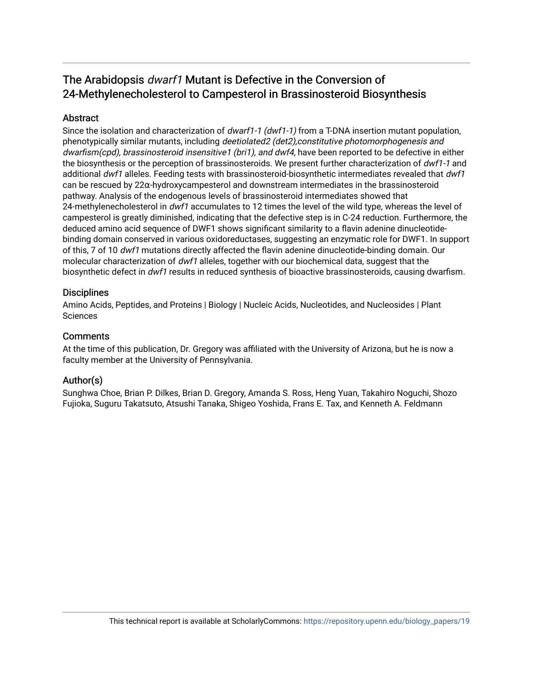# The Arabidopsis dwarf1 Mutant is Defective in the Conversion of 24-Methylenecholesterol to Campesterol in Brassinosteroid Biosynthesis

# **Abstract**

Since the isolation and characterization of *dwarf1-1 (dwf1-1)* from a T-DNA insertion mutant population, phenotypically similar mutants, including deetiolated2 (det2),constitutive photomorphogenesis and dwarfism(cpd), brassinosteroid insensitive1 (bri1), and dwf4, have been reported to be defective in either the biosynthesis or the perception of brassinosteroids. We present further characterization of dwf1-1 and additional dwf1 alleles. Feeding tests with brassinosteroid-biosynthetic intermediates revealed that dwf1 can be rescued by 22α-hydroxycampesterol and downstream intermediates in the brassinosteroid pathway. Analysis of the endogenous levels of brassinosteroid intermediates showed that 24-methylenecholesterol in dwf1 accumulates to 12 times the level of the wild type, whereas the level of campesterol is greatly diminished, indicating that the defective step is in C-24 reduction. Furthermore, the deduced amino acid sequence of DWF1 shows significant similarity to a flavin adenine dinucleotidebinding domain conserved in various oxidoreductases, suggesting an enzymatic role for DWF1. In support of this, 7 of 10 dwf1 mutations directly affected the flavin adenine dinucleotide-binding domain. Our molecular characterization of dwf1 alleles, together with our biochemical data, suggest that the biosynthetic defect in dwf1 results in reduced synthesis of bioactive brassinosteroids, causing dwarfism.

# **Disciplines**

Amino Acids, Peptides, and Proteins | Biology | Nucleic Acids, Nucleotides, and Nucleosides | Plant **Sciences** 

# **Comments**

At the time of this publication, Dr. Gregory was affiliated with the University of Arizona, but he is now a faculty member at the University of Pennsylvania.

# Author(s)

Sunghwa Choe, Brian P. Dilkes, Brian D. Gregory, Amanda S. Ross, Heng Yuan, Takahiro Noguchi, Shozo Fujioka, Suguru Takatsuto, Atsushi Tanaka, Shigeo Yoshida, Frans E. Tax, and Kenneth A. Feldmann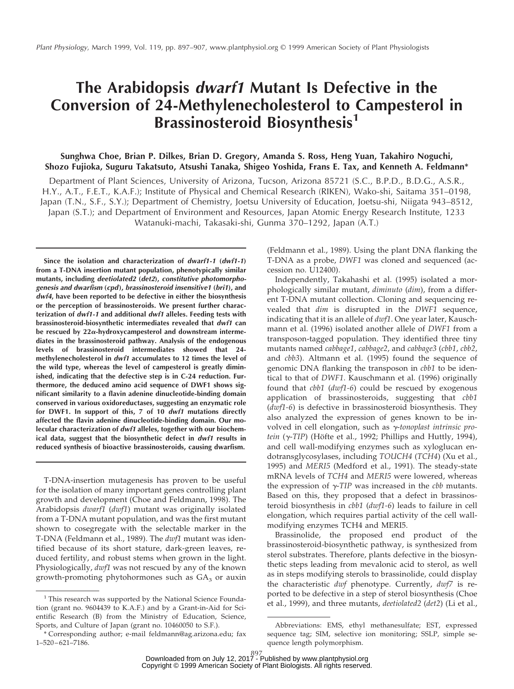# **The Arabidopsis dwarf1 Mutant Is Defective in the Conversion of 24-Methylenecholesterol to Campesterol in Brassinosteroid Biosynthesis<sup>1</sup>**

### **Sunghwa Choe, Brian P. Dilkes, Brian D. Gregory, Amanda S. Ross, Heng Yuan, Takahiro Noguchi, Shozo Fujioka, Suguru Takatsuto, Atsushi Tanaka, Shigeo Yoshida, Frans E. Tax, and Kenneth A. Feldmann\***

Department of Plant Sciences, University of Arizona, Tucson, Arizona 85721 (S.C., B.P.D., B.D.G., A.S.R., H.Y., A.T., F.E.T., K.A.F.); Institute of Physical and Chemical Research (RIKEN), Wako-shi, Saitama 351–0198, Japan (T.N., S.F., S.Y.); Department of Chemistry, Joetsu University of Education, Joetsu-shi, Niigata 943–8512, Japan (S.T.); and Department of Environment and Resources, Japan Atomic Energy Research Institute, 1233 Watanuki-machi, Takasaki-shi, Gunma 370–1292, Japan (A.T.)

**Since the isolation and characterization of dwarf1-1 (dwf1-1) from a T-DNA insertion mutant population, phenotypically similar mutants, including deetiolated2 (det2), constitutive photomorphogenesis and dwarfism (cpd), brassinosteroid insensitive1 (bri1), and dwf4, have been reported to be defective in either the biosynthesis or the perception of brassinosteroids. We present further characterization of dwf1-1 and additional dwf1 alleles. Feeding tests with brassinosteroid-biosynthetic intermediates revealed that dwf1 can be rescued by 22**a**-hydroxycampesterol and downstream intermediates in the brassinosteroid pathway. Analysis of the endogenous levels of brassinosteroid intermediates showed that 24 methylenecholesterol in dwf1 accumulates to 12 times the level of the wild type, whereas the level of campesterol is greatly diminished, indicating that the defective step is in C-24 reduction. Furthermore, the deduced amino acid sequence of DWF1 shows significant similarity to a flavin adenine dinucleotide-binding domain conserved in various oxidoreductases, suggesting an enzymatic role for DWF1. In support of this, 7 of 10 dwf1 mutations directly affected the flavin adenine dinucleotide-binding domain. Our molecular characterization of dwf1 alleles, together with our biochemical data, suggest that the biosynthetic defect in dwf1 results in reduced synthesis of bioactive brassinosteroids, causing dwarfism.**

T-DNA-insertion mutagenesis has proven to be useful for the isolation of many important genes controlling plant growth and development (Choe and Feldmann, 1998). The Arabidopsis *dwarf1* (*dwf1*) mutant was originally isolated from a T-DNA mutant population, and was the first mutant shown to cosegregate with the selectable marker in the T-DNA (Feldmann et al., 1989). The *dwf1* mutant was identified because of its short stature, dark-green leaves, reduced fertility, and robust stems when grown in the light. Physiologically, *dwf1* was not rescued by any of the known growth-promoting phytohormones such as  $GA<sub>3</sub>$  or auxin

(Feldmann et al., 1989). Using the plant DNA flanking the T-DNA as a probe, *DWF1* was cloned and sequenced (accession no. U12400).

Independently, Takahashi et al. (1995) isolated a morphologically similar mutant, *diminuto* (*dim*), from a different T-DNA mutant collection. Cloning and sequencing revealed that *dim* is disrupted in the *DWF1* sequence, indicating that it is an allele of *dwf1*. One year later, Kauschmann et al. (1996) isolated another allele of *DWF1* from a transposon-tagged population. They identified three tiny mutants named *cabbage1*, *cabbage2*, and *cabbage3* (*cbb1*, *cbb2*, and *cbb3*). Altmann et al. (1995) found the sequence of genomic DNA flanking the transposon in *cbb1* to be identical to that of *DWF1*. Kauschmann et al. (1996) originally found that *cbb1* (*dwf1-6*) could be rescued by exogenous application of brassinosteroids, suggesting that *cbb1* (*dwf1-6*) is defective in brassinosteroid biosynthesis. They also analyzed the expression of genes known to be involved in cell elongation, such as <sup>g</sup>-*tonoplast intrinsic protein* (γ-*TIP*) (Höfte et al., 1992; Phillips and Huttly, 1994), and cell wall-modifying enzymes such as xyloglucan endotransglycosylases, including *TOUCH4* (*TCH4*) (Xu et al., 1995) and *MERI5* (Medford et al., 1991). The steady-state mRNA levels of *TCH4* and *MERI5* were lowered, whereas the expression of  $\gamma$ -*TIP* was increased in the *cbb* mutants. Based on this, they proposed that a defect in brassinosteroid biosynthesis in *cbb1* (*dwf1-6*) leads to failure in cell elongation, which requires partial activity of the cell wallmodifying enzymes TCH4 and MERI5.

Brassinolide, the proposed end product of the brassinosteroid-biosynthetic pathway, is synthesized from sterol substrates. Therefore, plants defective in the biosynthetic steps leading from mevalonic acid to sterol, as well as in steps modifying sterols to brassinolide, could display the characteristic *dwf* phenotype. Currently, *dwf7* is reported to be defective in a step of sterol biosynthesis (Choe et al., 1999), and three mutants, *deetiolated2* (*det2*) (Li et al., <sup>1</sup> Channel Channel Channel Channel Channel Channel Channel Channel Channel Channel Channel Channel Channel Channel Channel Channel Channel Channel Chan

tion (grant no. 9604439 to K.A.F.) and by a Grant-in-Aid for Scientific Research (B) from the Ministry of Education, Science, Sports, and Culture of Japan (grant no. 10460050 to S.F.).

<sup>\*</sup> Corresponding author; e-mail feldmann@ag.arizona.edu; fax 1–520–621–7186.

Abbreviations: EMS, ethyl methanesulfate; EST, expressed sequence tag; SIM, selective ion monitoring; SSLP, simple sequence length polymorphism.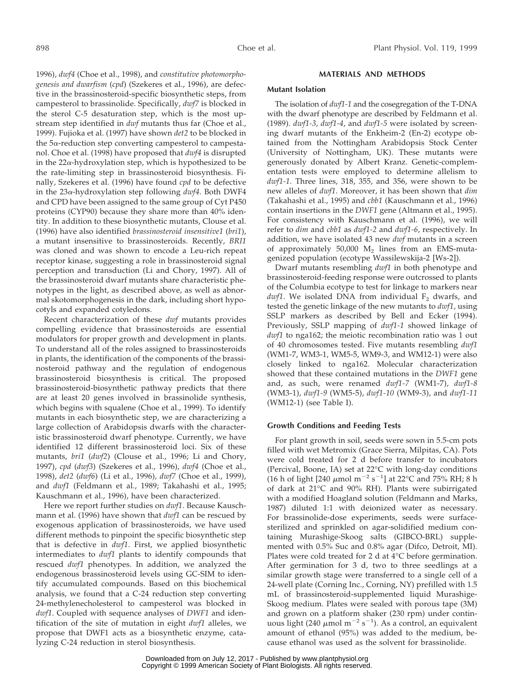1996), *dwf4* (Choe et al., 1998), and *constitutive photomorphogenesis and dwarfism* (*cpd*) (Szekeres et al., 1996), are defective in the brassinosteroid-specific biosynthetic steps, from campesterol to brassinolide. Specifically, *dwf7* is blocked in the sterol C-5 desaturation step, which is the most upstream step identified in *dwf* mutants thus far (Choe et al., 1999). Fujioka et al. (1997) have shown *det2* to be blocked in the  $5\alpha$ -reduction step converting campesterol to campestanol. Choe et al. (1998) have proposed that *dwf4* is disrupted in the  $22\alpha$ -hydroxylation step, which is hypothesized to be the rate-limiting step in brassinosteroid biosynthesis. Finally, Szekeres et al. (1996) have found *cpd* to be defective in the 23a-hydroxylation step following *dwf4*. Both DWF4 and CPD have been assigned to the same group of Cyt P450 proteins (CYP90) because they share more than 40% identity. In addition to these biosynthetic mutants, Clouse et al. (1996) have also identified *brassinosteroid insensitive1* (*bri1*), a mutant insensitive to brassinosteroids. Recently, *BRI1* was cloned and was shown to encode a Leu-rich repeat receptor kinase, suggesting a role in brassinosteroid signal perception and transduction (Li and Chory, 1997). All of the brassinosteroid dwarf mutants share characteristic phenotypes in the light, as described above, as well as abnormal skotomorphogenesis in the dark, including short hypocotyls and expanded cotyledons.

Recent characterization of these *dwf* mutants provides compelling evidence that brassinosteroids are essential modulators for proper growth and development in plants. To understand all of the roles assigned to brassinosteroids in plants, the identification of the components of the brassinosteroid pathway and the regulation of endogenous brassinosteroid biosynthesis is critical. The proposed brassinosteroid-biosynthetic pathway predicts that there are at least 20 genes involved in brassinolide synthesis, which begins with squalene (Choe et al., 1999). To identify mutants in each biosynthetic step, we are characterizing a large collection of Arabidopsis dwarfs with the characteristic brassinosteroid dwarf phenotype. Currently, we have identified 12 different brassinosteroid loci. Six of these mutants, *bri1* (*dwf2*) (Clouse et al., 1996; Li and Chory, 1997), *cpd* (*dwf3*) (Szekeres et al., 1996), *dwf4* (Choe et al., 1998), *det2* (*dwf6*) (Li et al., 1996), *dwf7* (Choe et al., 1999), and *dwf1* (Feldmann et al., 1989; Takahashi et al., 1995; Kauschmann et al., 1996), have been characterized.

Here we report further studies on *dwf1*. Because Kauschmann et al. (1996) have shown that *dwf1* can be rescued by exogenous application of brassinosteroids, we have used different methods to pinpoint the specific biosynthetic step that is defective in *dwf1*. First, we applied biosynthetic intermediates to *dwf1* plants to identify compounds that rescued *dwf1* phenotypes. In addition, we analyzed the endogenous brassinosteroid levels using GC-SIM to identify accumulated compounds. Based on this biochemical analysis, we found that a C-24 reduction step converting 24-methylenecholesterol to campesterol was blocked in *dwf1*. Coupled with sequence analyses of *DWF1* and identification of the site of mutation in eight *dwf1* alleles, we propose that DWF1 acts as a biosynthetic enzyme, catalyzing C-24 reduction in sterol biosynthesis.

#### **MATERIALS AND METHODS**

#### **Mutant Isolation**

The isolation of *dwf1-1* and the cosegregation of the T-DNA with the dwarf phenotype are described by Feldmann et al. (1989). *dwf1-3*, *dwf1-4*, and *dwf1-5* were isolated by screening dwarf mutants of the Enkheim-2 (En-2) ecotype obtained from the Nottingham Arabidopsis Stock Center (University of Nottingham, UK). These mutants were generously donated by Albert Kranz. Genetic-complementation tests were employed to determine allelism to *dwf1-1*. Three lines, 318, 355, and 356, were shown to be new alleles of *dwf1*. Moreover, it has been shown that *dim* (Takahashi et al., 1995) and *cbb1* (Kauschmann et al., 1996) contain insertions in the *DWF1* gene (Altmann et al., 1995). For consistency with Kauschmann et al. (1996), we will refer to *dim* and *cbb1* as *dwf1-2* and *dwf1-6*, respectively. In addition, we have isolated 43 new *dwf* mutants in a screen of approximately  $50,000$  M<sub>2</sub> lines from an EMS-mutagenized population (ecotype Wassilewskija-2 [Ws-2]).

Dwarf mutants resembling *dwf1* in both phenotype and brassinosteroid-feeding response were outcrossed to plants of the Columbia ecotype to test for linkage to markers near  $dwf1$ . We isolated DNA from individual  $F_2$  dwarfs, and tested the genetic linkage of the new mutants to *dwf1*, using SSLP markers as described by Bell and Ecker (1994). Previously, SSLP mapping of *dwf1-1* showed linkage of *dwf1* to nga162; the meiotic recombination ratio was 1 out of 40 chromosomes tested. Five mutants resembling *dwf1* (WM1-7, WM3-1, WM5-5, WM9-3, and WM12-1) were also closely linked to nga162. Molecular characterization showed that these contained mutations in the *DWF1* gene and, as such, were renamed *dwf1-7* (WM1-7), *dwf1-8* (WM3-1), *dwf1-9* (WM5-5), *dwf1-10* (WM9-3), and *dwf1-11* (WM12-1) (see Table I).

#### **Growth Conditions and Feeding Tests**

For plant growth in soil, seeds were sown in 5.5-cm pots filled with wet Metromix (Grace Sierra, Milpitas, CA). Pots were cold treated for 2 d before transfer to incubators (Percival, Boone, IA) set at 22°C with long-day conditions (16 h of light [240  $\mu$ mol m<sup>-2</sup> s<sup>-1</sup>] at 22°C and 75% RH; 8 h of dark at 21°C and 90% RH). Plants were subirrigated with a modified Hoagland solution (Feldmann and Marks, 1987) diluted 1:1 with deionized water as necessary. For brassinolide-dose experiments, seeds were surfacesterilized and sprinkled on agar-solidified medium containing Murashige-Skoog salts (GIBCO-BRL) supplemented with 0.5% Suc and 0.8% agar (Difco, Detroit, MI). Plates were cold treated for 2 d at 4°C before germination. After germination for 3 d, two to three seedlings at a similar growth stage were transferred to a single cell of a 24-well plate (Corning Inc., Corning, NY) prefilled with 1.5 mL of brassinosteroid-supplemented liquid Murashige-Skoog medium. Plates were sealed with porous tape (3M) and grown on a platform shaker (230 rpm) under continuous light (240  $\mu$ mol m<sup>-2</sup> s<sup>-1</sup>). As a control, an equivalent amount of ethanol (95%) was added to the medium, because ethanol was used as the solvent for brassinolide.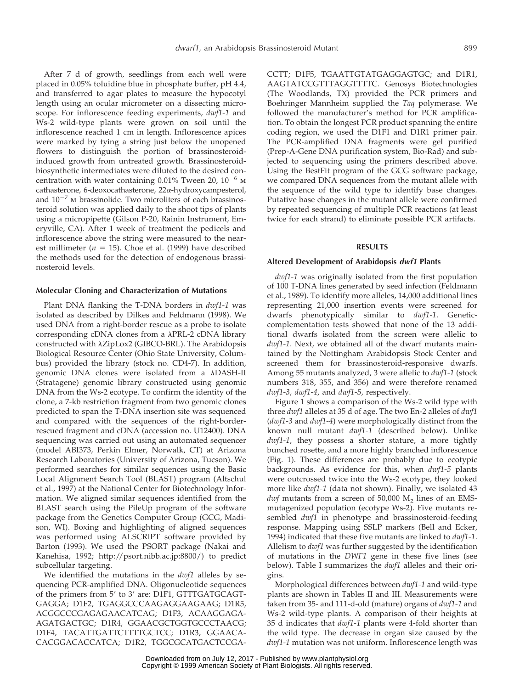After 7 d of growth, seedlings from each well were placed in 0.05% toluidine blue in phosphate buffer, pH 4.4, and transferred to agar plates to measure the hypocotyl length using an ocular micrometer on a dissecting microscope. For inflorescence feeding experiments, *dwf1-1* and Ws-2 wild-type plants were grown on soil until the inflorescence reached 1 cm in length. Inflorescence apices were marked by tying a string just below the unopened flowers to distinguish the portion of brassinosteroidinduced growth from untreated growth. Brassinosteroidbiosynthetic intermediates were diluted to the desired concentration with water containing 0.01% Tween 20,  $10^{-6}$  M cathasterone, 6-deoxocathasterone,  $22\alpha$ -hydroxycampesterol, and  $10^{-7}$  m brassinolide. Two microliters of each brassinosteroid solution was applied daily to the shoot tips of plants using a micropipette (Gilson P-20, Rainin Instrument, Emeryville, CA). After 1 week of treatment the pedicels and inflorescence above the string were measured to the nearest millimeter ( $n = 15$ ). Choe et al. (1999) have described the methods used for the detection of endogenous brassinosteroid levels.

#### **Molecular Cloning and Characterization of Mutations**

Plant DNA flanking the T-DNA borders in *dwf1-1* was isolated as described by Dilkes and Feldmann (1998). We used DNA from a right-border rescue as a probe to isolate corresponding cDNA clones from a  $\lambda$ PRL-2 cDNA library constructed with  $\lambda$ ZipLox2 (GIBCO-BRL). The Arabidopsis Biological Resource Center (Ohio State University, Columbus) provided the library (stock no. CD4-7). In addition, genomic DNA clones were isolated from a λDASH-II (Stratagene) genomic library constructed using genomic DNA from the Ws-2 ecotype. To confirm the identity of the clone, a 7-kb restriction fragment from two genomic clones predicted to span the T-DNA insertion site was sequenced and compared with the sequences of the right-borderrescued fragment and cDNA (accession no. U12400). DNA sequencing was carried out using an automated sequencer (model ABI373, Perkin Elmer, Norwalk, CT) at Arizona Research Laboratories (University of Arizona, Tucson). We performed searches for similar sequences using the Basic Local Alignment Search Tool (BLAST) program (Altschul et al., 1997) at the National Center for Biotechnology Information. We aligned similar sequences identified from the BLAST search using the PileUp program of the software package from the Genetics Computer Group (GCG, Madison, WI). Boxing and highlighting of aligned sequences was performed using ALSCRIPT software provided by Barton (1993). We used the PSORT package (Nakai and Kanehisa, 1992; http://psort.nibb.ac.jp:8800/) to predict subcellular targeting.

We identified the mutations in the *dwf1* alleles by sequencing PCR-amplified DNA. Oligonucleotide sequences of the primers from  $5'$  to  $3'$  are: D1F1, GTTTGATGCAGT-GAGGA; D1F2, TGAGGCCCAAGAGGAAGAAG; D1R5, ACGGCCCGAGAGAACATCAG; D1F3, ACAAGGAGA-AGATGACTGC; D1R4, GGAACGCTGGTGCCCTAACG; D1F4, TACATTGATTCTTTTGCTCC; D1R3, GGAACA-CACGGACACCATCA; D1R2, TGGCGCATGACTCCGA-

CCTT; D1F5, TGAATTGTATGAGGAGTGC; and D1R1, AAGTATCCGTTTAGGTTTTC. Genosys Biotechnologies (The Woodlands, TX) provided the PCR primers and Boehringer Mannheim supplied the *Taq* polymerase. We followed the manufacturer's method for PCR amplification. To obtain the longest PCR product spanning the entire coding region, we used the D1F1 and D1R1 primer pair. The PCR-amplified DNA fragments were gel purified (Prep-A-Gene DNA purification system, Bio-Rad) and subjected to sequencing using the primers described above. Using the BestFit program of the GCG software package, we compared DNA sequences from the mutant allele with the sequence of the wild type to identify base changes. Putative base changes in the mutant allele were confirmed by repeated sequencing of multiple PCR reactions (at least twice for each strand) to eliminate possible PCR artifacts.

#### **RESULTS**

#### **Altered Development of Arabidopsis dwf1 Plants**

*dwf1-1* was originally isolated from the first population of 100 T-DNA lines generated by seed infection (Feldmann et al., 1989). To identify more alleles, 14,000 additional lines representing 21,000 insertion events were screened for dwarfs phenotypically similar to *dwf1-1*. Geneticcomplementation tests showed that none of the 13 additional dwarfs isolated from the screen were allelic to *dwf1-1*. Next, we obtained all of the dwarf mutants maintained by the Nottingham Arabidopsis Stock Center and screened them for brassinosteroid-responsive dwarfs. Among 55 mutants analyzed, 3 were allelic to *dwf1-1* (stock numbers 318, 355, and 356) and were therefore renamed *dwf1-3*, *dwf1-4*, and *dwf1-5*, respectively.

Figure 1 shows a comparison of the Ws-2 wild type with three *dwf1* alleles at 35 d of age. The two En-2 alleles of *dwf1* (*dwf1-3* and *dwf1-4*) were morphologically distinct from the known null mutant *dwf1-1* (described below). Unlike *dwf1-1*, they possess a shorter stature, a more tightly bunched rosette, and a more highly branched inflorescence (Fig. 1). These differences are probably due to ecotypic backgrounds. As evidence for this, when *dwf1-5* plants were outcrossed twice into the Ws-2 ecotype, they looked more like *dwf1-1* (data not shown). Finally, we isolated 43  $dwf$  mutants from a screen of 50,000  $M<sub>2</sub>$  lines of an EMSmutagenized population (ecotype Ws-2). Five mutants resembled *dwf1* in phenotype and brassinosteroid-feeding response. Mapping using SSLP markers (Bell and Ecker, 1994) indicated that these five mutants are linked to *dwf1-1*. Allelism to *dwf1* was further suggested by the identification of mutations in the *DWF1* gene in these five lines (see below). Table I summarizes the *dwf1* alleles and their origins.

Morphological differences between *dwf1-1* and wild-type plants are shown in Tables II and III. Measurements were taken from 35- and 111-d-old (mature) organs of *dwf1-1* and Ws-2 wild-type plants. A comparison of their heights at 35 d indicates that *dwf1-1* plants were 4-fold shorter than the wild type. The decrease in organ size caused by the *dwf1-1* mutation was not uniform. Inflorescence length was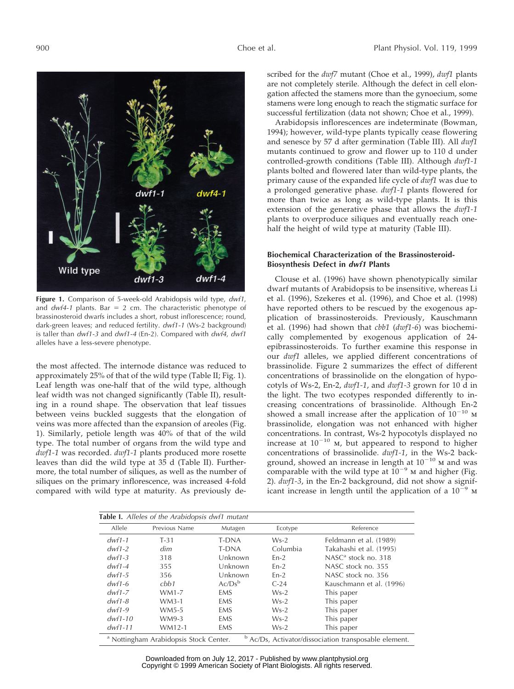

**Figure 1.** Comparison of 5-week-old Arabidopsis wild type, dwf1, and  $dwf4-1$  plants. Bar = 2 cm. The characteristic phenotype of brassinosteroid dwarfs includes a short, robust inflorescence; round, dark-green leaves; and reduced fertility. dwf1-1 (Ws-2 background) is taller than dwf1-3 and dwf1-4 (En-2). Compared with dwf4, dwf1 alleles have a less-severe phenotype.

the most affected. The internode distance was reduced to approximately 25% of that of the wild type (Table II; Fig. 1). Leaf length was one-half that of the wild type, although leaf width was not changed significantly (Table II), resulting in a round shape. The observation that leaf tissues between veins buckled suggests that the elongation of veins was more affected than the expansion of areoles (Fig. 1). Similarly, petiole length was 40% of that of the wild type. The total number of organs from the wild type and *dwf1-1* was recorded. *dwf1-1* plants produced more rosette leaves than did the wild type at 35 d (Table II). Furthermore, the total number of siliques, as well as the number of siliques on the primary inflorescence, was increased 4-fold compared with wild type at maturity. As previously described for the *dwf7* mutant (Choe et al., 1999), *dwf1* plants are not completely sterile. Although the defect in cell elongation affected the stamens more than the gynoecium, some stamens were long enough to reach the stigmatic surface for successful fertilization (data not shown; Choe et al., 1999).

Arabidopsis inflorescences are indeterminate (Bowman, 1994); however, wild-type plants typically cease flowering and senesce by 57 d after germination (Table III). All *dwf1* mutants continued to grow and flower up to 110 d under controlled-growth conditions (Table III). Although *dwf1-1* plants bolted and flowered later than wild-type plants, the primary cause of the expanded life cycle of *dwf1* was due to a prolonged generative phase. *dwf1-1* plants flowered for more than twice as long as wild-type plants. It is this extension of the generative phase that allows the *dwf1-1* plants to overproduce siliques and eventually reach onehalf the height of wild type at maturity (Table III).

#### **Biochemical Characterization of the Brassinosteroid-Biosynthesis Defect in dwf1 Plants**

Clouse et al. (1996) have shown phenotypically similar dwarf mutants of Arabidopsis to be insensitive, whereas Li et al. (1996), Szekeres et al. (1996), and Choe et al. (1998) have reported others to be rescued by the exogenous application of brassinosteroids. Previously, Kauschmann et al. (1996) had shown that *cbb1* (*dwf1-6*) was biochemically complemented by exogenous application of 24 epibrassinosteroids. To further examine this response in our *dwf1* alleles, we applied different concentrations of brassinolide. Figure 2 summarizes the effect of different concentrations of brassinolide on the elongation of hypocotyls of Ws-2, En-2, *dwf1-1*, and *dwf1-3* grown for 10 d in the light. The two ecotypes responded differently to increasing concentrations of brassinolide. Although En-2 showed a small increase after the application of  $10^{-10}$  M brassinolide, elongation was not enhanced with higher concentrations. In contrast, Ws-2 hypocotyls displayed no increase at  $10^{-10}$  M, but appeared to respond to higher concentrations of brassinolide. *dwf1-1*, in the Ws-2 background, showed an increase in length at  $10^{-10}$  M and was comparable with the wild type at  $10^{-9}$  m and higher (Fig. 2). *dwf1-3*, in the En-2 background, did not show a significant increase in length until the application of a  $10^{-9}$  M

| <b>Table I.</b> Alleles of the Arabidopsis dwf1 mutant                                                                |               |              |          |                          |  |  |
|-----------------------------------------------------------------------------------------------------------------------|---------------|--------------|----------|--------------------------|--|--|
| Allele                                                                                                                | Previous Name | Mutagen      | Ecotype  | Reference                |  |  |
| $dwf1-1$                                                                                                              | $T-31$        | T-DNA        | $Ws-2$   | Feldmann et al. (1989)   |  |  |
| $dwf1-2$                                                                                                              | dim           | <b>T-DNA</b> | Columbia | Takahashi et al. (1995)  |  |  |
| $dwf1-3$                                                                                                              | 318           | Unknown      | $En-2$   | NASC $a$ stock no. 318   |  |  |
| $dwf1-4$                                                                                                              | 355           | Unknown      | $En-2$   | NASC stock no. 355       |  |  |
| $dwf1-5$                                                                                                              | 356           | Unknown      | $En-2$   | NASC stock no. 356       |  |  |
| $dwf1-6$                                                                                                              | cbb1          | $Ac/Ds^b$    | $C-24$   | Kauschmann et al. (1996) |  |  |
| $dwf1-Z$                                                                                                              | $WM1-7$       | <b>EMS</b>   | $Ws-2$   | This paper               |  |  |
| $dwf1-8$                                                                                                              | $WM3-1$       | <b>EMS</b>   | $Ws-2$   | This paper               |  |  |
| $dwf1-9$                                                                                                              | WM5-5         | <b>EMS</b>   | $Ws-2$   | This paper               |  |  |
| $dwf1-10$                                                                                                             | WM9-3         | <b>EMS</b>   | $Ws-2$   | This paper               |  |  |
| $dwf1-11$                                                                                                             | WM12-1        | <b>EMS</b>   | $Ws-2$   | This paper               |  |  |
| <sup>b</sup> Ac/Ds, Activator/dissociation transposable element.<br><sup>a</sup> Nottingham Arabidopsis Stock Center. |               |              |          |                          |  |  |

Downloaded from on July 12, 2017 - Published by [www.plantphysiol.org](http://www.plantphysiol.org) Copyright © 1999 American Society of Plant Biologists. All rights reserved.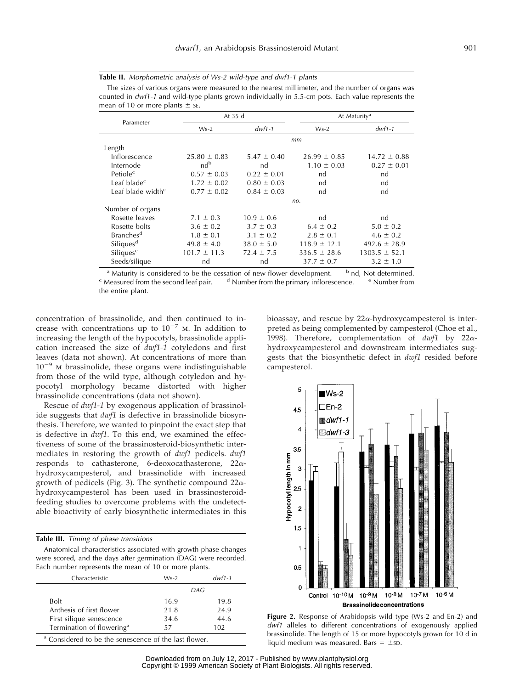| <b>Table II.</b> Morphometric analysis of Ws-2 wild-type and dwf1-1 plants |
|----------------------------------------------------------------------------|
|----------------------------------------------------------------------------|

The sizes of various organs were measured to the nearest millimeter, and the number of organs was counted in dwf1-1 and wild-type plants grown individually in 5.5-cm pots. Each value represents the mean of 10 or more plants  $\pm$  se.

| Parameter                                                                                                                                                                                                                                                                                                               | At 35 d          |                 | At Maturity <sup>a</sup> |                                  |
|-------------------------------------------------------------------------------------------------------------------------------------------------------------------------------------------------------------------------------------------------------------------------------------------------------------------------|------------------|-----------------|--------------------------|----------------------------------|
|                                                                                                                                                                                                                                                                                                                         | $Ws-2$           | $dwf1-1$        | $Ws-2$                   | $dwf1-1$                         |
|                                                                                                                                                                                                                                                                                                                         |                  |                 | mm                       |                                  |
| Length                                                                                                                                                                                                                                                                                                                  |                  |                 |                          |                                  |
| Inflorescence                                                                                                                                                                                                                                                                                                           | $25.80 \pm 0.83$ | $5.47 \pm 0.40$ | $26.99 \pm 0.85$         | $14.72 \pm 0.88$                 |
| Internode                                                                                                                                                                                                                                                                                                               | nd <sup>b</sup>  | nd              | $1.10 \pm 0.03$          | $0.27 \pm 0.01$                  |
| Petiole <sup>c</sup>                                                                                                                                                                                                                                                                                                    | $0.57 \pm 0.03$  | $0.22 \pm 0.01$ | nd                       | nd                               |
| Leaf blade $c$                                                                                                                                                                                                                                                                                                          | $1.72 \pm 0.02$  | $0.80 \pm 0.03$ | nd                       | nd                               |
| Leaf blade width $\epsilon$                                                                                                                                                                                                                                                                                             | $0.77 \pm 0.02$  | $0.84 \pm 0.03$ | nd                       | nd                               |
|                                                                                                                                                                                                                                                                                                                         |                  |                 | no.                      |                                  |
| Number of organs                                                                                                                                                                                                                                                                                                        |                  |                 |                          |                                  |
| Rosette leaves                                                                                                                                                                                                                                                                                                          | $7.1 \pm 0.3$    | $10.9 \pm 0.6$  | nd                       | nd                               |
| Rosette bolts                                                                                                                                                                                                                                                                                                           | $3.6 \pm 0.2$    | $3.7 \pm 0.3$   | $6.4 \pm 0.2$            | $5.0 \pm 0.2$                    |
| <b>Branches</b> <sup>d</sup>                                                                                                                                                                                                                                                                                            | $1.8 \pm 0.1$    | $3.1 \pm 0.2$   | $2.8 \pm 0.1$            | $4.6 \pm 0.2$                    |
| Siliques <sup>d</sup>                                                                                                                                                                                                                                                                                                   | $49.8 \pm 4.0$   | $38.0 \pm 5.0$  | $118.9 \pm 12.1$         | $492.6 \pm 28.9$                 |
| Siliques <sup>e</sup>                                                                                                                                                                                                                                                                                                   | $101.7 \pm 11.3$ | $72.4 \pm 7.5$  | $336.5 \pm 28.6$         | $1303.5 \pm 52.1$                |
| Seeds/silique                                                                                                                                                                                                                                                                                                           | nd               | nd              | $37.7 \pm 0.7$           | $3.2 \pm 1.0$                    |
| <sup>a</sup> Maturity is considered to be the cessation of new flower development.<br>$\alpha$ , and a set of the set of the set of the set of the set of the set of the set of the set of the set of the set of the set of the set of the set of the set of the set of the set of the set of the set of the set of the |                  |                 |                          | <sup>b</sup> nd, Not determined. |

Measured from the second leaf pair. d Number from the primary inflorescence.  $e^{i\theta}$  Number from the entire plant.

concentration of brassinolide, and then continued to increase with concentrations up to  $10^{-7}$  m. In addition to increasing the length of the hypocotyls, brassinolide application increased the size of *dwf1-1* cotyledons and first leaves (data not shown). At concentrations of more than  $10^{-9}$  m brassinolide, these organs were indistinguishable from those of the wild type, although cotyledon and hypocotyl morphology became distorted with higher brassinolide concentrations (data not shown).

Rescue of *dwf1-1* by exogenous application of brassinolide suggests that *dwf1* is defective in brassinolide biosynthesis. Therefore, we wanted to pinpoint the exact step that is defective in *dwf1*. To this end, we examined the effectiveness of some of the brassinosteroid-biosynthetic intermediates in restoring the growth of *dwf1* pedicels. *dwf1* responds to cathasterone, 6-deoxocathasterone,  $22\alpha$ hydroxycampesterol, and brassinolide with increased growth of pedicels (Fig. 3). The synthetic compound  $22\alpha$ hydroxycampesterol has been used in brassinosteroidfeeding studies to overcome problems with the undetectable bioactivity of early biosynthetic intermediates in this

|  |  |  | Table III. Timing of phase transitions |
|--|--|--|----------------------------------------|
|--|--|--|----------------------------------------|

Anatomical characteristics associated with growth-phase changes were scored, and the days after germination (DAG) were recorded. Each number represents the mean of 10 or more plants.

| Characteristic                        | $Ws-2$ | $dwf1-1$ |
|---------------------------------------|--------|----------|
|                                       | DAG    |          |
| <b>Bolt</b>                           | 16.9   | 19.8     |
| Anthesis of first flower              | 21.8   | 24.9     |
| First silique senescence              | 34.6   | 44.6     |
| Termination of flowering <sup>a</sup> | 57     | 102      |
| .                                     | .      |          |

<sup>a</sup> Considered to be the senescence of the last flower.

bioassay, and rescue by  $22\alpha$ -hydroxycampesterol is interpreted as being complemented by campesterol (Choe et al., 1998). Therefore, complementation of *dwf1* by 22ahydroxycampesterol and downstream intermediates suggests that the biosynthetic defect in *dwf1* resided before campesterol.



**Figure 2.** Response of Arabidopsis wild type (Ws-2 and En-2) and dwf1 alleles to different concentrations of exogenously applied brassinolide. The length of 15 or more hypocotyls grown for 10 d in liquid medium was measured. Bars =  $\pm$ sD.

Downloaded from on July 12, 2017 - Published by [www.plantphysiol.org](http://www.plantphysiol.org) Copyright © 1999 American Society of Plant Biologists. All rights reserved.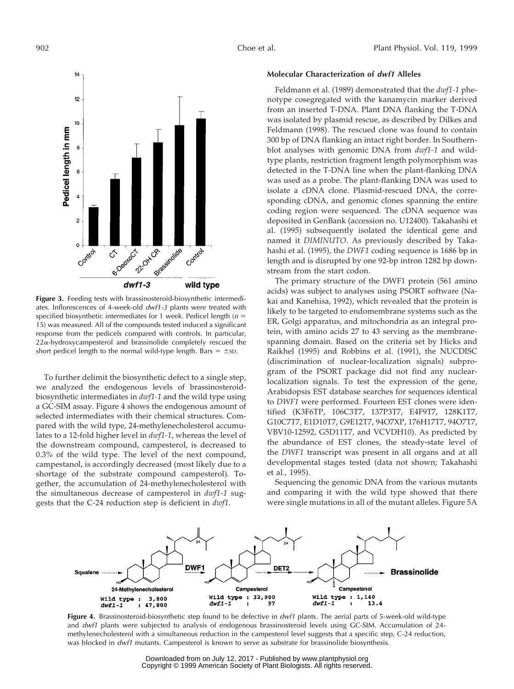

**Figure 3.** Feeding tests with brassinosteroid-biosynthetic intermediates. Inflorescences of 4-week-old dwf1-3 plants were treated with specified biosynthetic intermediates for 1 week. Pedicel length ( $n =$ 15) was measured. All of the compounds tested induced a significant response from the pedicels compared with controls. In particular,  $22\alpha$ -hydroxycampesterol and brassinolide completely rescued the short pedicel length to the normal wild-type length. Bars =  $\pm$ sp.

To further delimit the biosynthetic defect to a single step, we analyzed the endogenous levels of brassinosteroidbiosynthetic intermediates in *dwf1-1* and the wild type using a GC-SIM assay. Figure 4 shows the endogenous amount of selected intermediates with their chemical structures. Compared with the wild type, 24-methylenecholesterol accumulates to a 12-fold higher level in *dwf1-1*, whereas the level of the downstream compound, campesterol, is decreased to 0.3% of the wild type. The level of the next compound, campestanol, is accordingly decreased (most likely due to a shortage of the substrate compound campesterol). Together, the accumulation of 24-methylenecholesterol with the simultaneous decrease of campesterol in *dwf1-1* suggests that the C-24 reduction step is deficient in *dwf1*.

#### **Molecular Characterization of dwf1 Alleles**

Feldmann et al. (1989) demonstrated that the *dwf1-1* phenotype cosegregated with the kanamycin marker derived from an inserted T-DNA. Plant DNA flanking the T-DNA was isolated by plasmid rescue, as described by Dilkes and Feldmann (1998). The rescued clone was found to contain 300 bp of DNA flanking an intact right border. In Southernblot analyses with genomic DNA from *dwf1-1* and wildtype plants, restriction fragment length polymorphism was detected in the T-DNA line when the plant-flanking DNA was used as a probe. The plant-flanking DNA was used to isolate a cDNA clone. Plasmid-rescued DNA, the corresponding cDNA, and genomic clones spanning the entire coding region were sequenced. The cDNA sequence was deposited in GenBank (accession no. U12400). Takahashi et al. (1995) subsequently isolated the identical gene and named it *DIMINUTO*. As previously described by Takahashi et al. (1995), the *DWF1* coding sequence is 1686 bp in length and is disrupted by one 92-bp intron 1282 bp downstream from the start codon.

The primary structure of the DWF1 protein (561 amino acids) was subject to analyses using PSORT software (Nakai and Kanehisa, 1992), which revealed that the protein is likely to be targeted to endomembrane systems such as the ER, Golgi apparatus, and mitochondria as an integral protein, with amino acids 27 to 43 serving as the membranespanning domain. Based on the criteria set by Hicks and Raikhel (1995) and Robbins et al. (1991), the NUCDISC (discrimination of nuclear-localization signals) subprogram of the PSORT package did not find any nuclearlocalization signals. To test the expression of the gene, Arabidopsis EST database searches for sequences identical to *DWF1* were performed. Fourteen EST clones were identified (K3F6TP, 106C3T7, 137P3T7, E4F9T7, 128K1T7, G10C7T7, E1D10T7, G9E12T7, 94O7XP, 176H17T7, 94O7T7, VBV10-12592, G5D11T7, and VCVDH10). As predicted by the abundance of EST clones, the steady-state level of the *DWF1* transcript was present in all organs and at all developmental stages tested (data not shown; Takahashi et al., 1995).

Sequencing the genomic DNA from the various mutants and comparing it with the wild type showed that there were single mutations in all of the mutant alleles. Figure 5A



**Figure 4.** Brassinosteroid-biosynthetic step found to be defective in *dwf1* plants. The aerial parts of 5-week-old wild-type and dwf1 plants were subjected to analysis of endogenous brassinosteroid levels using GC-SIM. Accumulation of 24methylenecholesterol with a simultaneous reduction in the campesterol level suggests that a specific step, C-24 reduction, was blocked in dwf1 mutants. Campesterol is known to serve as substrate for brassinolide biosynthesis.

Downloaded from on July 12, 2017 - Published by [www.plantphysiol.org](http://www.plantphysiol.org) Copyright © 1999 American Society of Plant Biologists. All rights reserved.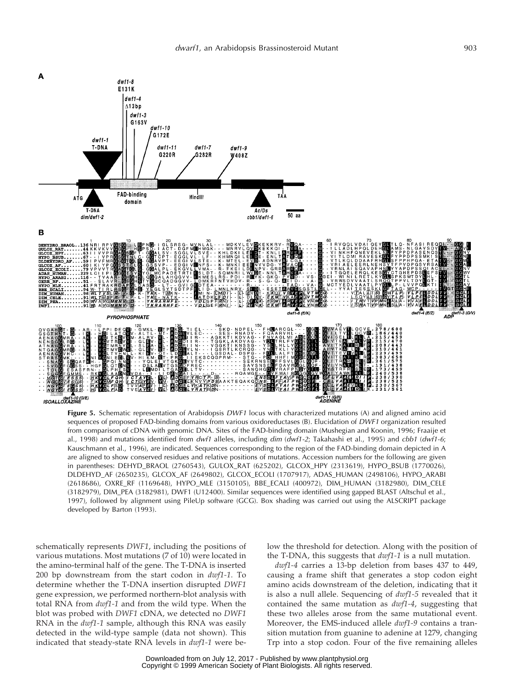

**Figure 5.** Schematic representation of Arabidopsis DWF1 locus with characterized mutations (A) and aligned amino acid sequences of proposed FAD-binding domains from various oxidoreductases (B). Elucidation of DWF1 organization resulted from comparison of cDNA with genomic DNA. Sites of the FAD-binding domain (Mushegian and Koonin, 1996; Fraaije et al., 1998) and mutations identified from dwf1 alleles, including dim (dwf1-2; Takahashi et al., 1995) and cbb1 (dwf1-6; Kauschmann et al., 1996), are indicated. Sequences corresponding to the region of the FAD-binding domain depicted in A are aligned to show conserved residues and relative positions of mutations. Accession numbers for the following are given in parentheses: DEHYD\_BRAOL (2760543), GULOX\_RAT (625202), GLCOX\_HPY (2313619), HYPO\_BSUB (1770026), DLDEHYD\_AF (2650235), GLCOX\_AF (2649802), GLCOX\_ECOLI (1707917), ADAS\_HUMAN (2498106), HYPO\_ARABI (2618686), OXRE\_RF (1169648), HYPO\_MLE (3150105), BBE\_ECALI (400972), DIM\_HUMAN (3182980), DIM\_CELE (3182979), DIM\_PEA (3182981), DWF1 (U12400). Similar sequences were identified using gapped BLAST (Altschul et al., 1997), followed by alignment using PileUp software (GCG). Box shading was carried out using the ALSCRIPT package developed by Barton (1993).

schematically represents *DWF1*, including the positions of various mutations. Most mutations (7 of 10) were located in the amino-terminal half of the gene. The T-DNA is inserted 200 bp downstream from the start codon in *dwf1-1*. To determine whether the T-DNA insertion disrupted *DWF1* gene expression, we performed northern-blot analysis with total RNA from *dwf1-1* and from the wild type. When the blot was probed with *DWF1* cDNA, we detected no *DWF1* RNA in the *dwf1-1* sample, although this RNA was easily detected in the wild-type sample (data not shown). This indicated that steady-state RNA levels in *dwf1-1* were below the threshold for detection. Along with the position of the T-DNA, this suggests that *dwf1-1* is a null mutation.

*dwf1-4* carries a 13-bp deletion from bases 437 to 449, causing a frame shift that generates a stop codon eight amino acids downstream of the deletion, indicating that it is also a null allele. Sequencing of *dwf1-5* revealed that it contained the same mutation as *dwf1-4*, suggesting that these two alleles arose from the same mutational event. Moreover, the EMS-induced allele *dwf1-9* contains a transition mutation from guanine to adenine at 1279, changing Trp into a stop codon. Four of the five remaining alleles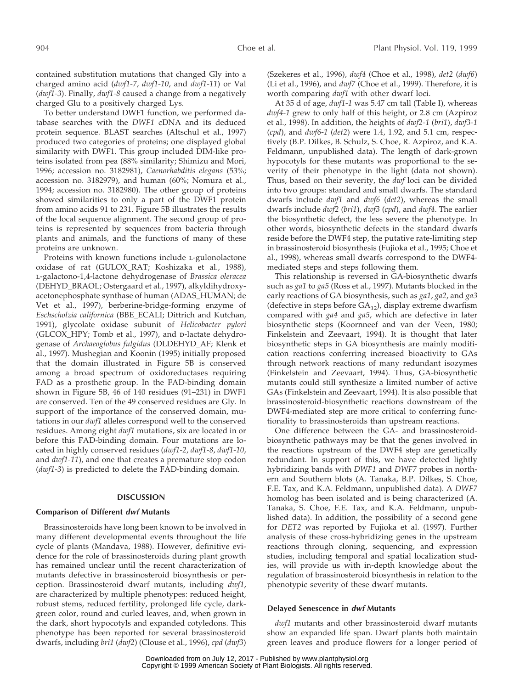contained substitution mutations that changed Gly into a charged amino acid (*dwf1-7*, *dwf1-10*, and *dwf1-11*) or Val (*dwf1-3*). Finally, *dwf1-8* caused a change from a negatively charged Glu to a positively charged Lys.

To better understand DWF1 function, we performed database searches with the *DWF1* cDNA and its deduced protein sequence. BLAST searches (Altschul et al., 1997) produced two categories of proteins; one displayed global similarity with DWF1. This group included DIM-like proteins isolated from pea (88% similarity; Shimizu and Mori, 1996; accession no. 3182981), *Caenorhabditis elegans* (53%; accession no. 3182979), and human (60%; Nomura et al., 1994; accession no. 3182980). The other group of proteins showed similarities to only a part of the DWF1 protein from amino acids 91 to 231. Figure 5B illustrates the results of the local sequence alignment. The second group of proteins is represented by sequences from bacteria through plants and animals, and the functions of many of these proteins are unknown.

Proteins with known functions include L-gulonolactone oxidase of rat (GULOX\_RAT; Koshizaka et al., 1988), l-galactono-1,4-lactone dehydrogenase of *Brassica oleracea* (DEHYD\_BRAOL; Ostergaard et al., 1997), alkyldihydroxyacetonephosphate synthase of human (ADAS\_HUMAN; de Vet et al., 1997), berberine-bridge-forming enzyme of *Eschscholzia californica* (BBE\_ECALI; Dittrich and Kutchan, 1991), glycolate oxidase subunit of *Helicobacter pylori* (GLCOX\_HPY; Tomb et al., 1997), and p-lactate dehydrogenase of *Archaeoglobus fulgidus* (DLDEHYD\_AF; Klenk et al., 1997). Mushegian and Koonin (1995) initially proposed that the domain illustrated in Figure 5B is conserved among a broad spectrum of oxidoreductases requiring FAD as a prosthetic group. In the FAD-binding domain shown in Figure 5B, 46 of 140 residues (91–231) in DWF1 are conserved. Ten of the 49 conserved residues are Gly. In support of the importance of the conserved domain, mutations in our *dwf1* alleles correspond well to the conserved residues. Among eight *dwf1* mutations, six are located in or before this FAD-binding domain. Four mutations are located in highly conserved residues (*dwf1-2*, *dwf1-8*, *dwf1-10*, and *dwf1-11*), and one that creates a premature stop codon (*dwf1-3*) is predicted to delete the FAD-binding domain.

#### **DISCUSSION**

#### **Comparison of Different dwf Mutants**

Brassinosteroids have long been known to be involved in many different developmental events throughout the life cycle of plants (Mandava, 1988). However, definitive evidence for the role of brassinosteroids during plant growth has remained unclear until the recent characterization of mutants defective in brassinosteroid biosynthesis or perception. Brassinosteroid dwarf mutants, including *dwf1*, are characterized by multiple phenotypes: reduced height, robust stems, reduced fertility, prolonged life cycle, darkgreen color, round and curled leaves, and, when grown in the dark, short hypocotyls and expanded cotyledons. This phenotype has been reported for several brassinosteroid dwarfs, including *bri1* (*dwf2*) (Clouse et al., 1996), *cpd* (*dwf3*)

(Szekeres et al., 1996), *dwf4* (Choe et al., 1998), *det2* (*dwf6*) (Li et al., 1996), and *dwf7* (Choe et al., 1999). Therefore, it is worth comparing *dwf1* with other dwarf loci.

At 35 d of age, *dwf1-1* was 5.47 cm tall (Table I), whereas *dwf4-1* grew to only half of this height, or 2.8 cm (Azpiroz et al., 1998). In addition, the heights of *dwf2-1* (*bri1*), *dwf3-1* (*cpd*), and *dwf6-1* (*det2*) were 1.4, 1.92, and 5.1 cm, respectively (B.P. Dilkes, B. Schulz, S. Choe, R. Azpiroz, and K.A. Feldmann, unpublished data). The length of dark-grown hypocotyls for these mutants was proportional to the severity of their phenotype in the light (data not shown). Thus, based on their severity, the *dwf* loci can be divided into two groups: standard and small dwarfs. The standard dwarfs include *dwf1* and *dwf6* (*det2*), whereas the small dwarfs include *dwf2* (*bri1*), *dwf3* (*cpd*), and *dwf4*. The earlier the biosynthetic defect, the less severe the phenotype. In other words, biosynthetic defects in the standard dwarfs reside before the DWF4 step, the putative rate-limiting step in brassinosteroid biosynthesis (Fujioka et al., 1995; Choe et al., 1998), whereas small dwarfs correspond to the DWF4 mediated steps and steps following them.

This relationship is reversed in GA-biosynthetic dwarfs such as *ga1* to *ga5* (Ross et al., 1997). Mutants blocked in the early reactions of GA biosynthesis, such as *ga1*, *ga2*, and *ga3* (defective in steps before  $GA_{12}$ ), display extreme dwarfism compared with *ga4* and *ga5*, which are defective in later biosynthetic steps (Koornneef and van der Veen, 1980; Finkelstein and Zeevaart, 1994). It is thought that later biosynthetic steps in GA biosynthesis are mainly modification reactions conferring increased bioactivity to GAs through network reactions of many redundant isozymes (Finkelstein and Zeevaart, 1994). Thus, GA-biosynthetic mutants could still synthesize a limited number of active GAs (Finkelstein and Zeevaart, 1994). It is also possible that brassinosteroid-biosynthetic reactions downstream of the DWF4-mediated step are more critical to conferring functionality to brassinosteroids than upstream reactions.

One difference between the GA- and brassinosteroidbiosynthetic pathways may be that the genes involved in the reactions upstream of the DWF4 step are genetically redundant. In support of this, we have detected lightly hybridizing bands with *DWF1* and *DWF7* probes in northern and Southern blots (A. Tanaka, B.P. Dilkes, S. Choe, F.E. Tax, and K.A. Feldmann, unpublished data). A *DWF7* homolog has been isolated and is being characterized (A. Tanaka, S. Choe, F.E. Tax, and K.A. Feldmann, unpublished data). In addition, the possibility of a second gene for *DET2* was reported by Fujioka et al. (1997). Further analysis of these cross-hybridizing genes in the upstream reactions through cloning, sequencing, and expression studies, including temporal and spatial localization studies, will provide us with in-depth knowledge about the regulation of brassinosteroid biosynthesis in relation to the phenotypic severity of these dwarf mutants.

#### **Delayed Senescence in dwf Mutants**

*dwf1* mutants and other brassinosteroid dwarf mutants show an expanded life span. Dwarf plants both maintain green leaves and produce flowers for a longer period of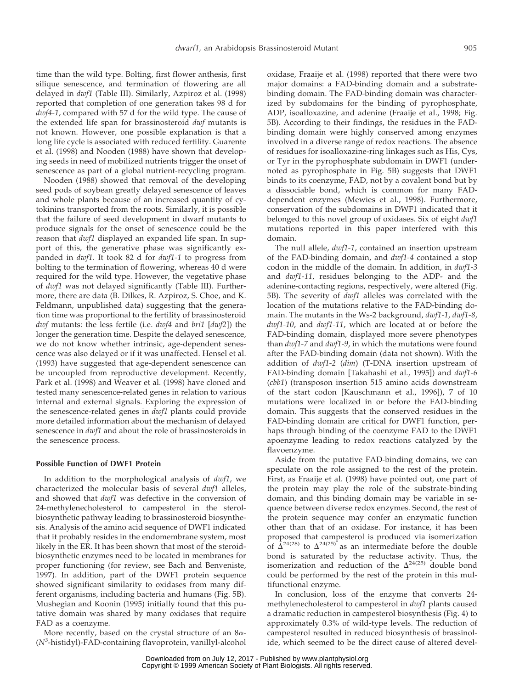time than the wild type. Bolting, first flower anthesis, first silique senescence, and termination of flowering are all delayed in *dwf1* (Table III). Similarly, Azpiroz et al. (1998) reported that completion of one generation takes 98 d for *dwf4-1*, compared with 57 d for the wild type. The cause of the extended life span for brassinosteroid *dwf* mutants is not known. However, one possible explanation is that a long life cycle is associated with reduced fertility. Guarente et al. (1998) and Nooden (1988) have shown that developing seeds in need of mobilized nutrients trigger the onset of senescence as part of a global nutrient-recycling program.

Nooden (1988) showed that removal of the developing seed pods of soybean greatly delayed senescence of leaves and whole plants because of an increased quantity of cytokinins transported from the roots. Similarly, it is possible that the failure of seed development in dwarf mutants to produce signals for the onset of senescence could be the reason that *dwf1* displayed an expanded life span. In support of this, the generative phase was significantly expanded in *dwf1*. It took 82 d for *dwf1-1* to progress from bolting to the termination of flowering, whereas 40 d were required for the wild type. However, the vegetative phase of *dwf1* was not delayed significantly (Table III). Furthermore, there are data (B. Dilkes, R. Azpiroz, S. Choe, and K. Feldmann, unpublished data) suggesting that the generation time was proportional to the fertility of brassinosteroid *dwf* mutants: the less fertile (i.e. *dwf4* and *bri1* [*dwf2*]) the longer the generation time. Despite the delayed senescence, we do not know whether intrinsic, age-dependent senescence was also delayed or if it was unaffected. Hensel et al. (1993) have suggested that age-dependent senescence can be uncoupled from reproductive development. Recently, Park et al. (1998) and Weaver et al. (1998) have cloned and tested many senescence-related genes in relation to various internal and external signals. Exploring the expression of the senescence-related genes in *dwf1* plants could provide more detailed information about the mechanism of delayed senescence in *dwf1* and about the role of brassinosteroids in the senescence process.

#### **Possible Function of DWF1 Protein**

In addition to the morphological analysis of *dwf1*, we characterized the molecular basis of several *dwf1* alleles, and showed that *dwf1* was defective in the conversion of 24-methylenecholesterol to campesterol in the sterolbiosynthetic pathway leading to brassinosteroid biosynthesis. Analysis of the amino acid sequence of DWF1 indicated that it probably resides in the endomembrane system, most likely in the ER. It has been shown that most of the steroidbiosynthetic enzymes need to be located in membranes for proper functioning (for review, see Bach and Benveniste, 1997). In addition, part of the DWF1 protein sequence showed significant similarity to oxidases from many different organisms, including bacteria and humans (Fig. 5B). Mushegian and Koonin (1995) initially found that this putative domain was shared by many oxidases that require FAD as a coenzyme.

More recently, based on the crystal structure of an  $8\alpha$ -(*N<sup>3</sup>* -histidyl)-FAD-containing flavoprotein, vanillyl-alcohol oxidase, Fraaije et al. (1998) reported that there were two major domains: a FAD-binding domain and a substratebinding domain. The FAD-binding domain was characterized by subdomains for the binding of pyrophosphate, ADP, isoalloxazine, and adenine (Fraaije et al., 1998; Fig. 5B). According to their findings, the residues in the FADbinding domain were highly conserved among enzymes involved in a diverse range of redox reactions. The absence of residues for isoalloxazine-ring linkages such as His, Cys, or Tyr in the pyrophosphate subdomain in DWF1 (undernoted as pyrophosphate in Fig. 5B) suggests that DWF1 binds to its coenzyme, FAD, not by a covalent bond but by a dissociable bond, which is common for many FADdependent enzymes (Mewies et al., 1998). Furthermore, conservation of the subdomains in DWF1 indicated that it belonged to this novel group of oxidases. Six of eight *dwf1* mutations reported in this paper interfered with this domain.

The null allele, *dwf1-1*, contained an insertion upstream of the FAD-binding domain, and *dwf1-4* contained a stop codon in the middle of the domain. In addition, in *dwf1-3* and *dwf1-11*, residues belonging to the ADP- and the adenine-contacting regions, respectively, were altered (Fig. 5B). The severity of *dwf1* alleles was correlated with the location of the mutations relative to the FAD-binding domain. The mutants in the Ws-2 background, *dwf1-1*, *dwf1-8*, *dwf1-10*, and *dwf1-11*, which are located at or before the FAD-binding domain, displayed more severe phenotypes than *dwf1-7* and *dwf1-9*, in which the mutations were found after the FAD-binding domain (data not shown). With the addition of *dwf1-2* (*dim*) (T-DNA insertion upstream of FAD-binding domain [Takahashi et al., 1995]) and *dwf1-6* (*cbb1*) (transposon insertion 515 amino acids downstream of the start codon [Kauschmann et al., 1996]), 7 of 10 mutations were localized in or before the FAD-binding domain. This suggests that the conserved residues in the FAD-binding domain are critical for DWF1 function, perhaps through binding of the coenzyme FAD to the DWF1 apoenzyme leading to redox reactions catalyzed by the flavoenzyme.

Aside from the putative FAD-binding domains, we can speculate on the role assigned to the rest of the protein. First, as Fraaije et al. (1998) have pointed out, one part of the protein may play the role of the substrate-binding domain, and this binding domain may be variable in sequence between diverse redox enzymes. Second, the rest of the protein sequence may confer an enzymatic function other than that of an oxidase. For instance, it has been proposed that campesterol is produced via isomerization of  $\Delta^{24(28)}$  to  $\Delta^{24(25)}$  as an intermediate before the double bond is saturated by the reductase activity. Thus, the isomerization and reduction of the  $\Delta^{24(25)}$  double bond could be performed by the rest of the protein in this multifunctional enzyme.

In conclusion, loss of the enzyme that converts 24 methylenecholesterol to campesterol in *dwf1* plants caused a dramatic reduction in campesterol biosynthesis (Fig. 4) to approximately 0.3% of wild-type levels. The reduction of campesterol resulted in reduced biosynthesis of brassinolide, which seemed to be the direct cause of altered devel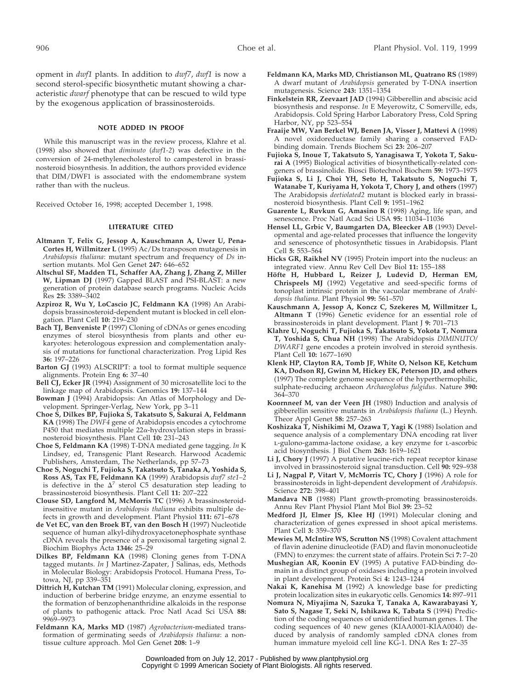opment in *dwf1* plants. In addition to *dwf7*, *dwf1* is now a second sterol-specific biosynthetic mutant showing a characteristic *dwarf* phenotype that can be rescued to wild type by the exogenous application of brassinosteroids.

#### **NOTE ADDED IN PROOF**

While this manuscript was in the review process, Klahre et al. (1998) also showed that *diminuto* (*dwf1-2*) was defective in the conversion of 24-methylenecholesterol to campesterol in brassinosteroid biosynthesis. In addition, the authors provided evidence that DIM/DWF1 is associated with the endomembrane system rather than with the nucleus.

Received October 16, 1998; accepted December 1, 1998.

#### **LITERATURE CITED**

- **Altmann T, Felix G, Jessop A, Kauschmann A, Uwer U, Pena-Cortes H, Willmitzer L** (1995) Ac/Ds transposon mutagenesis in *Arabidopsis thaliana*: mutant spectrum and frequency of *Ds* insertion mutants. Mol Gen Genet **247:** 646–652
- **Altschul SF, Madden TL, Schaffer AA, Zhang J, Zhang Z, Miller** W, Lipman DJ (1997) Gapped BLAST and PSI-BLAST: a new generation of protein database search programs. Nucleic Acids Res **25:** 3389–3402
- **Azpiroz R, Wu Y, LoCascio JC, Feldmann KA** (1998) An Arabidopsis brassinosteroid-dependent mutant is blocked in cell elongation. Plant Cell **10:** 219–230
- **Bach TJ, Benveniste P** (1997) Cloning of cDNAs or genes encoding enzymes of sterol biosynthesis from plants and other eukaryotes: heterologous expression and complementation analysis of mutations for functional characterization. Prog Lipid Res **36:** 197–226
- **Barton GJ** (1993) ALSCRIPT: a tool to format multiple sequence alignments. Protein Eng **6:** 37–40
- **Bell CJ, Ecker JR** (1994) Assignment of 30 microsatellite loci to the linkage map of Arabidopsis. Genomics **19:** 137–144
- **Bowman J** (1994) Arabidopsis: An Atlas of Morphology and Development. Springer-Verlag, New York, pp 3–11
- **Choe S, Dilkes BP, Fujioka S, Takatsuto S, Sakurai A, Feldmann KA** (1998) The *DWF4* gene of Arabidopsis encodes a cytochrome P450 that mediates multiple  $22\alpha$ -hydroxylation steps in brassinosteroid biosynthesis. Plant Cell **10:** 231–243
- **Choe S, Feldmann KA** (1998) T-DNA mediated gene tagging. *In* K Lindsey, ed, Transgenic Plant Research. Harwood Academic Publishers, Amsterdam, The Netherlands, pp 57–73
- **Choe S, Noguchi T, Fujioka S, Takatsuto S, Tanaka A, Yoshida S, Ross AS, Tax FE, Feldmann KA** (1999) Arabidopsis *dwf7 ste1–2* is defective in the  $\Delta^7$  sterol C5 desaturation step leading to brassinosteroid biosynthesis. Plant Cell **11:** 207–222
- **Clouse SD, Langford M, McMorris TC** (1996) A brassinosteroidinsensitive mutant in *Arabidopsis thaliana* exhibits multiple defects in growth and development. Plant Physiol **111:** 671–678
- **de Vet EC, van den Broek BT, van den Bosch H** (1997) Nucleotide sequence of human alkyl-dihydroxyacetonephosphate synthase cDNA reveals the presence of a peroxisomal targeting signal 2. Biochim Biophys Acta **1346:** 25–29
- **Dilkes BP, Feldmann KA** (1998) Cloning genes from T-DNA tagged mutants. *In* J Martinez-Zapater, J Salinas, eds, Methods in Molecular Biology: Arabidopsis Protocol. Humana Press, Totowa, NJ, pp 339–351
- **Dittrich H, Kutchan TM** (1991) Molecular cloning, expression, and induction of berberine bridge enzyme, an enzyme essential to the formation of benzophenanthridine alkaloids in the response of plants to pathogenic attack. Proc Natl Acad Sci USA **88:** 9969–9973
- **Feldmann KA, Marks MD** (1987) *Agrobacterium*-mediated transformation of germinating seeds of *Arabidopsis thaliana*: a nontissue culture approach. Mol Gen Genet **208:** 1–9
- **Feldmann KA, Marks MD, Christianson ML, Quatrano RS** (1989) A dwarf mutant of *Arabidopsis* generated by T-DNA insertion mutagenesis. Science **243:** 1351–1354
- **Finkelstein RR, Zeevaart JAD** (1994) Gibberellin and abscisic acid biosynthesis and response. *In* E Meyerowitz, C Somerville, eds, Arabidopsis. Cold Spring Harbor Laboratory Press, Cold Spring Harbor, NY, pp 523–554
- **Fraaije MW, Van Berkel WJ, Benen JA, Visser J, Mattevi A** (1998) A novel oxidoreductase family sharing a conserved FADbinding domain. Trends Biochem Sci **23:** 206–207
- **Fujioka S, Inoue T, Takatsuto S, Yanagisawa T, Yokota T, Sakurai A** (1995) Biological activities of biosynthetically-related congeners of brassinolide. Biosci Biotechnol Biochem **59:** 1973–1975
- **Fujioka S, Li J, Choi YH, Seto H, Takatsuto S, Noguchi T, Watanabe T, Kuriyama H, Yokota T, Chory J, and others** (1997) The Arabidopsis *deetiolated2* mutant is blocked early in brassinosteroid biosynthesis. Plant Cell **9:** 1951–1962
- **Guarente L, Ruvkun G, Amasino R** (1998) Aging, life span, and senescence. Proc Natl Acad Sci USA **95:** 11034–11036
- **Hensel LL, Grbic V, Baumgarten DA, Bleecker AB** (1993) Developmental and age-related processes that influence the longevity and senescence of photosynthetic tissues in Arabidopsis. Plant Cell **5:** 553–564
- **Hicks GR, Raikhel NV** (1995) Protein import into the nucleus: an integrated view. Annu Rev Cell Dev Biol **11:** 155–188
- **Ho¨fte H, Hubbard L, Reizer J, Ludevid D, Herman EM, Chrispeels MJ** (1992) Vegetative and seed-specific forms of tonoplast intrinsic protein in the vacuolar membrane of *Arabidopsis thaliana*. Plant Physiol **99:** 561–570
- **Kauschmann A, Jessop A, Koncz C, Szekeres M, Willmitzer L, Altmann T** (1996) Genetic evidence for an essential role of brassinosteroids in plant development. Plant J **9:** 701–713
- **Klahre U, Noguchi T, Fujioka S, Takatsuto S, Yokota T, Nomura T, Yoshida S, Chua NH** (1998) The Arabidopsis *DIMINUTO/ DWARF1* gene encodes a protein involved in steroid synthesis. Plant Cell **10:** 1677–1690
- **Klenk HP, Clayton RA, Tomb JF, White O, Nelson KE, Ketchum KA, Dodson RJ, Gwinn M, Hickey EK, Peterson JD, and others** (1997) The complete genome sequence of the hyperthermophilic, sulphate-reducing archaeon *Archaeoglobus fulgidus*. Nature **390:** 364–370
- **Koornneef M, van der Veen JH** (1980) Induction and analysis of gibberellin sensitive mutants in *Arabidopsis thaliana* (L.) Heynh. Theor Appl Genet **58:** 257–263
- **Koshizaka T, Nishikimi M, Ozawa T, Yagi K** (1988) Isolation and sequence analysis of a complementary DNA encoding rat liver l-gulono-gamma-lactone oxidase, a key enzyme for l-ascorbic acid biosynthesis. J Biol Chem **263:** 1619–1621
- **Li J, Chory J** (1997) A putative leucine-rich repeat receptor kinase involved in brassinosteroid signal transduction. Cell **90:** 929–938
- **Li J, Nagpal P, Vitart V, McMorris TC, Chory J** (1996) A role for brassinosteroids in light-dependent development of *Arabidopsis*. Science **272:** 398–401
- **Mandava NB** (1988) Plant growth-promoting brassinosteroids. Annu Rev Plant Physiol Plant Mol Biol **39:** 23–52
- **Medford JI, Elmer JS, Klee HJ** (1991) Molecular cloning and characterization of genes expressed in shoot apical meristems. Plant Cell **3:** 359–370
- **Mewies M, McIntire WS, Scrutton NS** (1998) Covalent attachment of flavin adenine dinucleotide (FAD) and flavin mononucleotide (FMN) to enzymes: the current state of affairs. Protein Sci **7:** 7–20
- **Mushegian AR, Koonin EV** (1995) A putative FAD-binding domain in a distinct group of oxidases including a protein involved in plant development. Protein Sci **4:** 1243–1244
- **Nakai K, Kanehisa M** (1992) A knowledge base for predicting protein localization sites in eukaryotic cells. Genomics **14:** 897–911
- **Nomura N, Miyajima N, Sazuka T, Tanaka A, Kawarabayasi Y, Sato S, Nagase T, Seki N, Ishikawa K, Tabata S** (1994) Prediction of the coding sequences of unidentified human genes. I. The coding sequences of 40 new genes (KIAA0001-KIAA0040) deduced by analysis of randomly sampled cDNA clones from human immature myeloid cell line KG-1. DNA Res **1:** 27–35